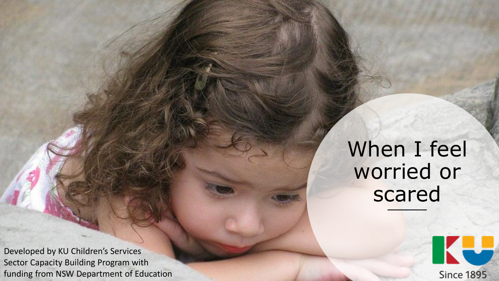Developed by KU Children's Services Sector Capacity Building Program with funding from NSW Department of Education

## When I feel worried or scared

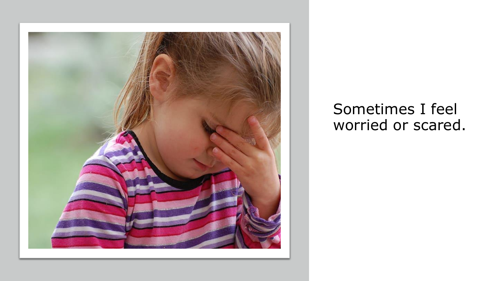

## Sometimes I feel worried or scared.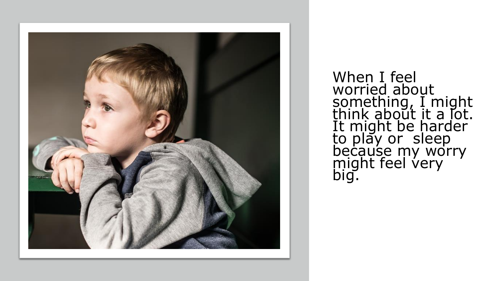

When I feel worried about something, I might think about it a lot. It might be harder to play or sleep because my worry might feel very big. **I** feel strange in my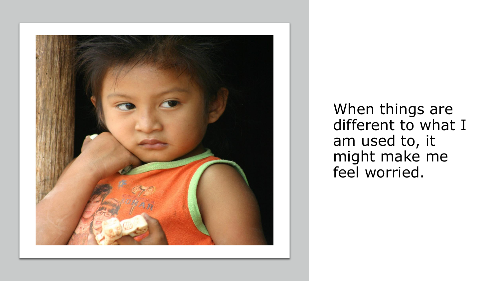

When things are different to what I am used to, it might make me feel worried.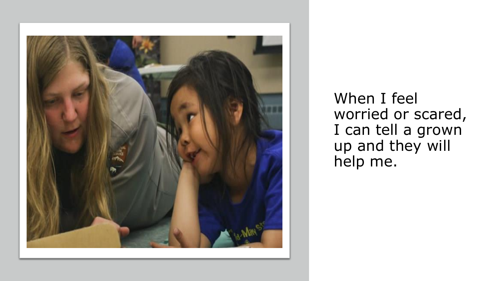

When I feel worried or scared, I can tell a grown up and they will help me.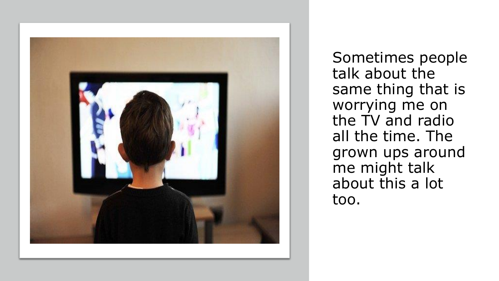

Sometimes people talk about the same thing that is worrying me on the TV and radio all the time. The grown ups around me might talk about this a lot too.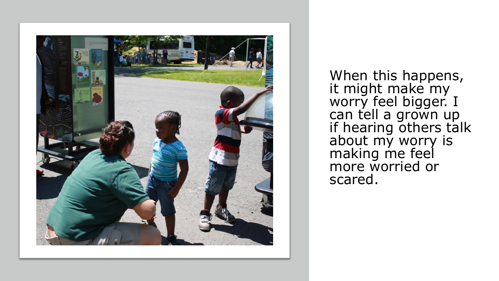

When this happens, it might make my worry feel bigger. I can tell a grown up if hearing others talk about my worry is making me feel more worried or scared.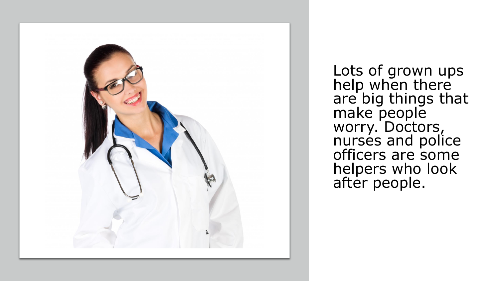

Lots of grown ups help when there are big things that make people worry. Doctors, nurses and police officers are some helpers who look after people.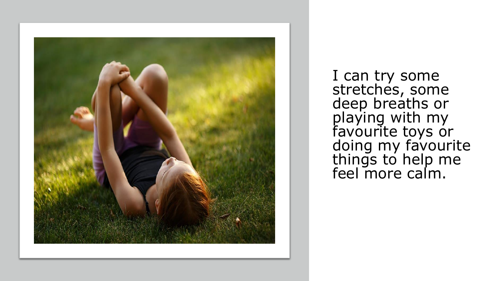

I can try some stretches, some deep breaths or playing with my favourite toys or doing my favourite things to help me feel more calm.